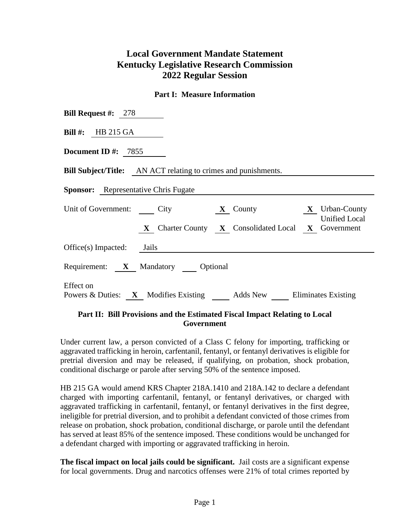## **Local Government Mandate Statement Kentucky Legislative Research Commission 2022 Regular Session**

## **Part I: Measure Information**

| <b>Bill Request #:</b> $278$                                                                  |  |  |  |  |  |  |  |  |
|-----------------------------------------------------------------------------------------------|--|--|--|--|--|--|--|--|
| <b>Bill #:</b> HB 215 GA                                                                      |  |  |  |  |  |  |  |  |
| Document ID $\#$ : 7855                                                                       |  |  |  |  |  |  |  |  |
| <b>Bill Subject/Title:</b> AN ACT relating to crimes and punishments.                         |  |  |  |  |  |  |  |  |
| <b>Sponsor:</b> Representative Chris Fugate                                                   |  |  |  |  |  |  |  |  |
| Unit of Government: City <b>X</b> County<br>$\mathbf{X}$ Urban-County<br><b>Unified Local</b> |  |  |  |  |  |  |  |  |
| X Charter County X Consolidated Local X Government                                            |  |  |  |  |  |  |  |  |
| $Office(s)$ Impacted: Jails                                                                   |  |  |  |  |  |  |  |  |
| Requirement: X Mandatory Optional                                                             |  |  |  |  |  |  |  |  |
| Effect on<br>Powers & Duties: X Modifies Existing Adds New Eliminates Existing                |  |  |  |  |  |  |  |  |

## **Part II: Bill Provisions and the Estimated Fiscal Impact Relating to Local Government**

Under current law, a person convicted of a Class C felony for importing, trafficking or aggravated trafficking in heroin, carfentanil, fentanyl, or fentanyl derivatives is eligible for pretrial diversion and may be released, if qualifying, on probation, shock probation, conditional discharge or parole after serving 50% of the sentence imposed.

HB 215 GA would amend KRS Chapter 218A.1410 and 218A.142 to declare a defendant charged with importing carfentanil, fentanyl, or fentanyl derivatives, or charged with aggravated trafficking in carfentanil, fentanyl, or fentanyl derivatives in the first degree, ineligible for pretrial diversion, and to prohibit a defendant convicted of those crimes from release on probation, shock probation, conditional discharge, or parole until the defendant has served at least 85% of the sentence imposed. These conditions would be unchanged for a defendant charged with importing or aggravated trafficking in heroin.

**The fiscal impact on local jails could be significant.** Jail costs are a significant expense for local governments. Drug and narcotics offenses were 21% of total crimes reported by